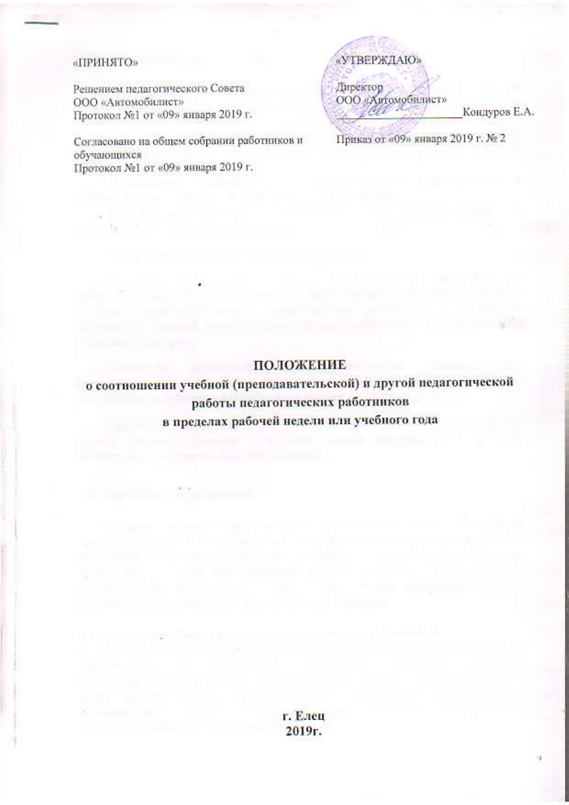#### «ПРИНЯТО»

Решением педагогического Совета ООО «Автомобилист» Протокол №1 от «09» января 2019 г.

Согласовано на общем собрании работников и обучающихся Протокол №1 от «09» января 2019 г.

«УТВЕРЖДАЮ» Директор ООО «Автомобилист» Кондуров Е.А. Приказ от «09» января 2019 г. № 2

## ПОЛОЖЕНИЕ

о соотношении учебной (преподавательской) и другой педагогической работы педагогических работников в пределах рабочей недели или учебного года

> г. Елец 2019г.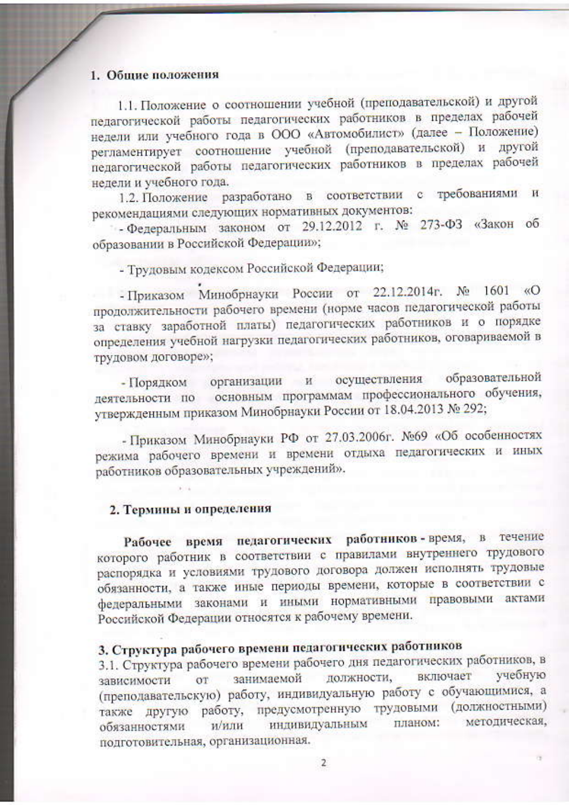#### 1. Общие положения

1.1. Положение о соотношении учебной (преподавательской) и другой педагогической работы педагогических работников в пределах рабочей недели или учебного года в ООО «Автомобилист» (далее - Положение) регламентирует соотношение учебной (преподавательской) и другой педагогической работы педагогических работников в пределах рабочей недели и учебного года.

1.2. Положение разработано в соответствии с требованиями и рекомендациями следующих нормативных документов:

- Федеральным законом от 29.12.2012 г. № 273-ФЗ «Закон об образовании в Российской Федерации»;

- Трудовым кодексом Российской Федерации;

- Приказом Минобрнауки России от 22.12.2014г. № 1601 «О продолжительности рабочего времени (норме часов педагогической работы за ставку заработной платы) педагогических работников и о порядке определения учебной нагрузки педагогических работников, оговариваемой в трудовом договоре»;

- Порядком организации и осуществления образовательной деятельности по основным программам профессионального обучения, утвержденным приказом Минобрнауки России от 18.04.2013 № 292;

- Приказом Минобрнауки РФ от 27.03.2006г. №69 «Об особенностях режима рабочего времени и времени отдыха педагогических и иных работников образовательных учреждений».

# 2. Термины и определения

Рабочее время педагогических работников-время, в течение которого работник в соответствии с правилами внутреннего трудового распорядка и условиями трудового договора должен исполнять трудовые обязанности, а также иные периоды времени, которые в соответствии с федеральными законами и иными нормативными правовыми актами Российской Федерации относятся к рабочему времени.

# 3. Структура рабочего времени педагогических работников

3.1. Структура рабочего времени рабочего дня педагогических работников, в от занимаемой должности, включает учебную зависимости (преподавательскую) работу, индивидуальную работу с обучающимися, а также другую работу, предусмотренную трудовыми (должностными) индивидуальным планом: методическая, и/или обязанностями подготовительная, организационная.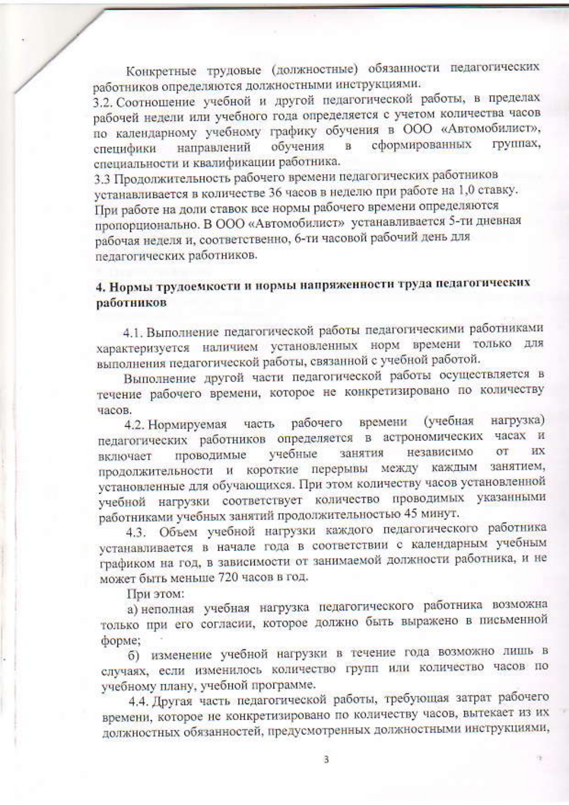Конкретные трудовые (должностные) обязанности педагогических работников определяются должностными инструкциями.

3.2. Соотношение учебной и другой педагогической работы, в пределах рабочей недели или учебного года определяется с учетом количества часов по календарному учебному графику обучения в ООО «Автомобилист», группах. сформированных обучения  $\mathbf{B}$ направлений специфики специальности и квалификации работника.

3.3 Продолжительность рабочего времени педагогических работников устанавливается в количестве 36 часов в неделю при работе на 1,0 ставку. При работе на доли ставок все нормы рабочего времени определяются пропорционально. В ООО «Автомобилист» устанавливается 5-ти дневная рабочая неделя и, соответственно, 6-ти часовой рабочий день для педагогических работников.

# 4. Нормы трудоемкости и нормы напряженности труда педагогических работников

4.1. Выполнение педагогической работы педагогическими работниками характеризуется наличием установленных норм времени только для выполнения педагогической работы, связанной с учебной работой.

Выполнение другой части педагогической работы осуществляется в течение рабочего времени, которое не конкретизировано по количеству часов.

часть рабочего времени (учебная нагрузка) 4.2. Нормируемая педагогических работников определяется в астрономических часах и **WX** независимо  $\alpha$ <sup>T</sup> учебные занятия проводимые включает продолжительности и короткие перерывы между каждым занятием, установленные для обучающихся. При этом количеству часов установленной учебной нагрузки соответствует количество проводимых указанными работниками учебных занятий продолжительностью 45 минут.

4.3. Объем учебной нагрузки каждого педагогического работника устанавливается в начале года в соответствии с календарным учебным графиком на год, в зависимости от занимаемой должности работника, и не может быть меньше 720 часов в год.

При этом:

а) неполная учебная нагрузка педагогического работника возможна только при его согласии, которое должно быть выражено в письменной форме;

б) изменение учебной нагрузки в течение года возможно лишь в случаях, если изменилось количество групп или количество часов по учебному плану, учебной программе.

4.4. Другая часть педагогической работы, требующая затрат рабочего времени, которое не конкретизировано по количеству часов, вытекает из их должностных обязанностей, предусмотренных должностными инструкциями,